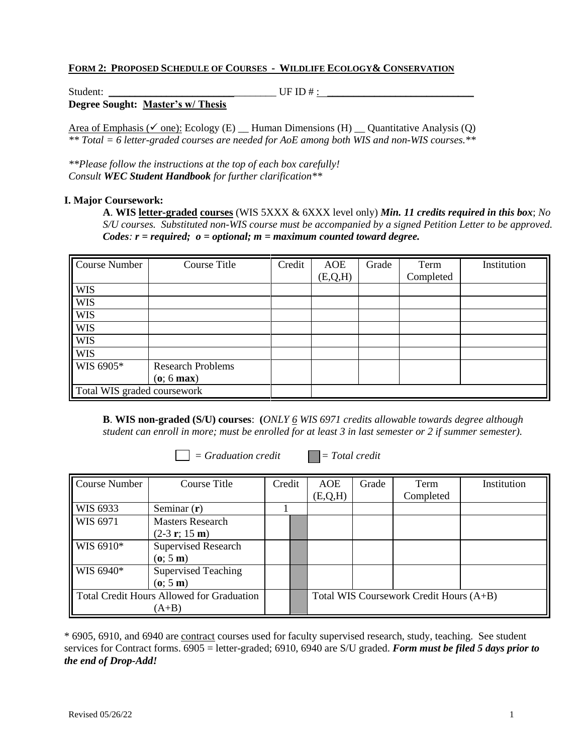## **FORM 2: PROPOSED SCHEDULE OF COURSES - WILDLIFE ECOLOGY& CONSERVATION**

| Student: |                                   | UF ID $#$ : |  |
|----------|-----------------------------------|-------------|--|
|          | Degree Sought: Master's w/ Thesis |             |  |

Area of Emphasis ( $\checkmark$  one): Ecology (E) Human Dimensions (H) Quantitative Analysis (Q) *\*\* Total = 6 letter-graded courses are needed for AoE among both WIS and non-WIS courses.\*\**

*\*\*Please follow the instructions at the top of each box carefully! Consult WEC Student Handbook for further clarification\*\**

#### **I. Major Coursework:**

**A**. **WIS letter-graded courses** (WIS 5XXX & 6XXX level only) *Min. 11 credits required in this box*; *No S/U courses. Substituted non-WIS course must be accompanied by a signed Petition Letter to be approved. Codes: r = required; o = optional; m = maximum counted toward degree.*

| Course Number               | <b>Course Title</b>      | Credit | <b>AOE</b> | Grade | Term      | Institution |
|-----------------------------|--------------------------|--------|------------|-------|-----------|-------------|
|                             |                          |        | (E,Q,H)    |       | Completed |             |
| <b>WIS</b>                  |                          |        |            |       |           |             |
| <b>WIS</b>                  |                          |        |            |       |           |             |
| <b>WIS</b>                  |                          |        |            |       |           |             |
| <b>WIS</b>                  |                          |        |            |       |           |             |
| <b>WIS</b>                  |                          |        |            |       |           |             |
| <b>WIS</b>                  |                          |        |            |       |           |             |
| WIS 6905*                   | <b>Research Problems</b> |        |            |       |           |             |
|                             | $(o; 6 \text{ max})$     |        |            |       |           |             |
| Total WIS graded coursework |                          |        |            |       |           |             |

**B**. **WIS non-graded (S/U) courses**: **(***ONLY 6 WIS 6971 credits allowable towards degree although student can enroll in more; must be enrolled for at least 3 in last semester or 2 if summer semester).*

 $\Box$  = *Graduation credit*  $\Box$  = *Total credit* 

| <b>Course Number</b>                             | Course Title               | Credit |  | AOE                                     | Grade | Term      | Institution |
|--------------------------------------------------|----------------------------|--------|--|-----------------------------------------|-------|-----------|-------------|
|                                                  |                            |        |  | (E, Q, H)                               |       | Completed |             |
| WIS 6933                                         | Seminar $(r)$              |        |  |                                         |       |           |             |
| WIS 6971                                         | <b>Masters Research</b>    |        |  |                                         |       |           |             |
|                                                  | $(2-3 r; 15 m)$            |        |  |                                         |       |           |             |
| WIS 6910*                                        | <b>Supervised Research</b> |        |  |                                         |       |           |             |
|                                                  | (o; 5m)                    |        |  |                                         |       |           |             |
| WIS 6940*                                        | <b>Supervised Teaching</b> |        |  |                                         |       |           |             |
|                                                  | (o; 5m)                    |        |  |                                         |       |           |             |
| <b>Total Credit Hours Allowed for Graduation</b> |                            |        |  | Total WIS Coursework Credit Hours (A+B) |       |           |             |
| $(A+B)$                                          |                            |        |  |                                         |       |           |             |

\* 6905, 6910, and 6940 are contract courses used for faculty supervised research, study, teaching. See student services for Contract forms. 6905 = letter-graded; 6910, 6940 are S/U graded. *Form must be filed 5 days prior to the end of Drop-Add!*